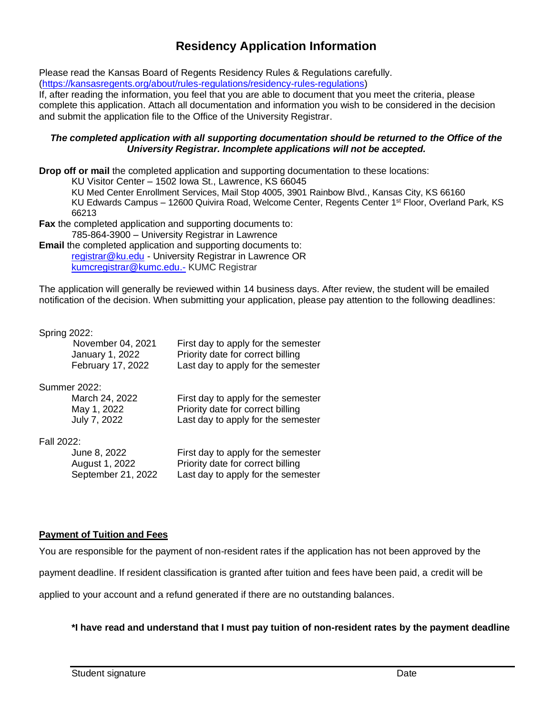## **Residency Application Information**

Please read the Kansas Board of Regents Residency Rules & Regulations carefully. [\(https://kansasregents.org/about/rules-regulations/residency-rules-regulations\)](https://kansasregents.org/about/rules-regulations/residency-rules-regulations)

If, after reading the information, you feel that you are able to document that you meet the criteria, please complete this application. Attach all documentation and information you wish to be considered in the decision and submit the application file to the Office of the University Registrar.

### *The completed application with all supporting documentation should be returned to the Office of the University Registrar. Incomplete applications will not be accepted.*

**Drop off or mail** the completed application and supporting documentation to these locations:

KU Visitor Center – 1502 Iowa St., Lawrence, KS 66045

KU Med Center Enrollment Services, Mail Stop 4005, 3901 Rainbow Blvd., Kansas City, KS 66160

KU Edwards Campus – 12600 Quivira Road, Welcome Center, Regents Center 1<sup>st</sup> Floor, Overland Park, KS 66213

**Fax** the completed application and supporting documents to: 785-864-3900 – University Registrar in Lawrence

**Email** the completed application and supporting documents to: [registrar@ku.edu](mailto:registrar@ku.edu) - University Registrar in Lawrence OR [kumcregistrar@kumc.edu.-](mailto:kumcregistrar@kumc.edu.-) KUMC Registrar

The application will generally be reviewed within 14 business days. After review, the student will be emailed notification of the decision. When submitting your application, please pay attention to the following deadlines:

Spring 2022:

|            | November 04, 2021<br>January 1, 2022<br>February 17, 2022 | First day to apply for the semester<br>Priority date for correct billing<br>Last day to apply for the semester |
|------------|-----------------------------------------------------------|----------------------------------------------------------------------------------------------------------------|
|            | Summer 2022:                                              |                                                                                                                |
|            | March 24, 2022                                            | First day to apply for the semester                                                                            |
|            | May 1, 2022                                               | Priority date for correct billing                                                                              |
|            | July 7, 2022                                              | Last day to apply for the semester                                                                             |
| Fall 2022: |                                                           |                                                                                                                |
|            | June 8, 2022                                              | First day to apply for the semester                                                                            |
|            | August 1, 2022                                            | Priority date for correct billing                                                                              |
|            | September 21, 2022                                        | Last day to apply for the semester                                                                             |
|            |                                                           |                                                                                                                |

## **Payment of Tuition and Fees**

You are responsible for the payment of non-resident rates if the application has not been approved by the

payment deadline. If resident classification is granted after tuition and fees have been paid, a credit will be

applied to your account and a refund generated if there are no outstanding balances.

### **\*I have read and understand that I must pay tuition of non-resident rates by the payment deadline**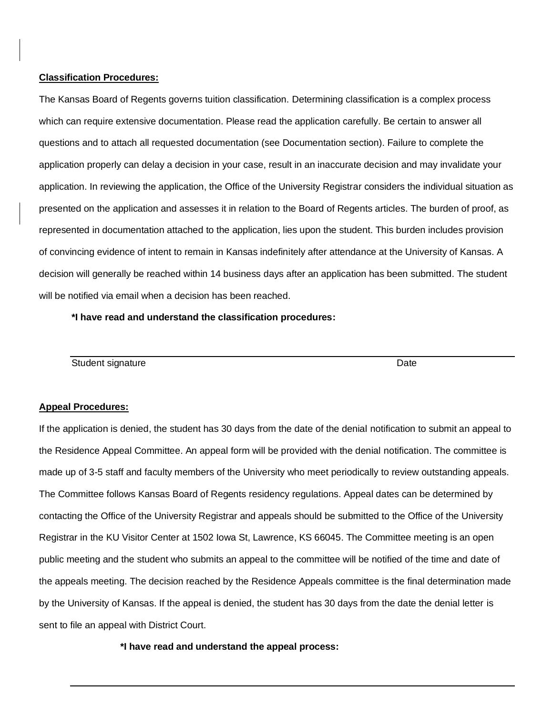### **Classification Procedures:**

The Kansas Board of Regents governs tuition classification. Determining classification is a complex process which can require extensive documentation. Please read the application carefully. Be certain to answer all questions and to attach all requested documentation (see Documentation section). Failure to complete the application properly can delay a decision in your case, result in an inaccurate decision and may invalidate your application. In reviewing the application, the Office of the University Registrar considers the individual situation as presented on the application and assesses it in relation to the Board of Regents articles. The burden of proof, as represented in documentation attached to the application, lies upon the student. This burden includes provision of convincing evidence of intent to remain in Kansas indefinitely after attendance at the University of Kansas. A decision will generally be reached within 14 business days after an application has been submitted. The student will be notified via email when a decision has been reached.

**\*I have read and understand the classification procedures:**

Student signature **Date** Date of **Date** Date of **Date** Date of **Date** Date of **Date** Date of **Date** Date of **Date Date** 

### **Appeal Procedures:**

If the application is denied, the student has 30 days from the date of the denial notification to submit an appeal to the Residence Appeal Committee. An appeal form will be provided with the denial notification. The committee is made up of 3-5 staff and faculty members of the University who meet periodically to review outstanding appeals. The Committee follows Kansas Board of Regents residency regulations. Appeal dates can be determined by contacting the Office of the University Registrar and appeals should be submitted to the Office of the University Registrar in the KU Visitor Center at 1502 Iowa St, Lawrence, KS 66045. The Committee meeting is an open public meeting and the student who submits an appeal to the committee will be notified of the time and date of the appeals meeting. The decision reached by the Residence Appeals committee is the final determination made by the University of Kansas. If the appeal is denied, the student has 30 days from the date the denial letter is sent to file an appeal with District Court.

**\*I have read and understand the appeal process:**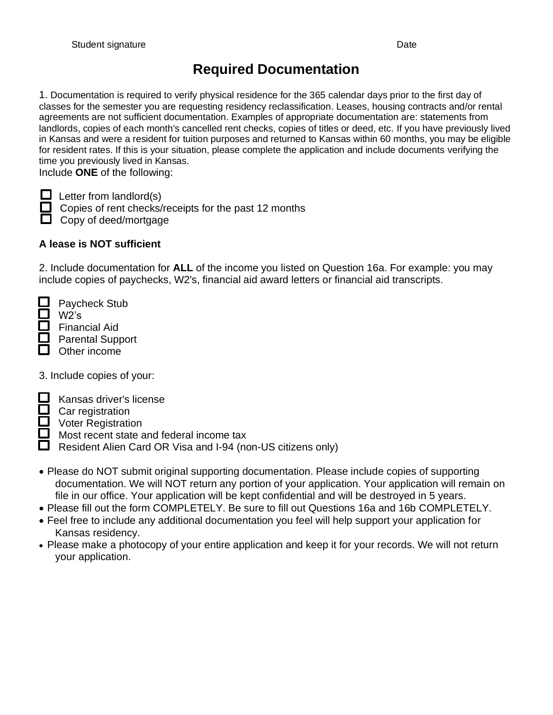# **Required Documentation**

1. Documentation is required to verify physical residence for the 365 calendar days prior to the first day of classes for the semester you are requesting residency reclassification. Leases, housing contracts and/or rental agreements are not sufficient documentation. Examples of appropriate documentation are: statements from landlords, copies of each month's cancelled rent checks, copies of titles or deed, etc. If you have previously lived in Kansas and were a resident for tuition purposes and returned to Kansas within 60 months, you may be eligible for resident rates. If this is your situation, please complete the application and include documents verifying the time you previously lived in Kansas.

Include **ONE** of the following:

i

 $\Box$  Letter from landlord(s)

Copies of rent checks/receipts for the past 12 months **Copy of deed/mortgage** 

## **A lease is NOT sufficient**

2. Include documentation for **ALL** of the income you listed on Question 16a. For example: you may include copies of paychecks, W2's, financial aid award letters or financial aid transcripts.

 Paycheck Stub W2's

Financial Aid

 $\Box$  Parental Support

 $\Box$  Other income

3. Include copies of your:

Kansas driver's license

Car registration Voter Registration

Most recent state and federal income tax **E** Resident Alien Card OR Visa and I-94 (non-US citizens only)

- Please do NOT submit original supporting documentation. Please include copies of supporting documentation. We will NOT return any portion of your application. Your application will remain on file in our office. Your application will be kept confidential and will be destroyed in 5 years.
- Please fill out the form COMPLETELY. Be sure to fill out Questions 16a and 16b COMPLETELY.
- Feel free to include any additional documentation you feel will help support your application for Kansas residency.
- Please make a photocopy of your entire application and keep it for your records. We will not return your application.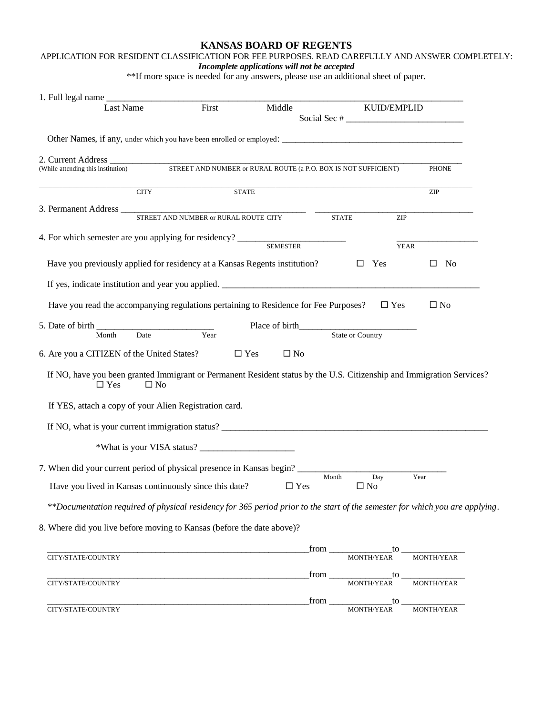### **KANSAS BOARD OF REGENTS**

## APPLICATION FOR RESIDENT CLASSIFICATION FOR FEE PURPOSES. READ CAREFULLY AND ANSWER COMPLETELY:

*Incomplete applications will not be accepted*

\*\*If more space is needed for any answers, please use an additional sheet of paper.

| 1. Full legal name                                                                                                                  |                                                                 |                                     |                                  |                   |                                                                 |
|-------------------------------------------------------------------------------------------------------------------------------------|-----------------------------------------------------------------|-------------------------------------|----------------------------------|-------------------|-----------------------------------------------------------------|
| Last Name                                                                                                                           | First                                                           | Middle                              |                                  | KUID/EMPLID       | Social Sec # $\frac{1}{\sqrt{1-\frac{1}{2}} \cdot \frac{1}{2}}$ |
|                                                                                                                                     |                                                                 |                                     |                                  |                   |                                                                 |
|                                                                                                                                     |                                                                 |                                     |                                  |                   |                                                                 |
| 2. Current Address<br>(While attending this institution)                                                                            | STREET AND NUMBER or RURAL ROUTE (a P.O. BOX IS NOT SUFFICIENT) |                                     |                                  |                   | <b>PHONE</b>                                                    |
| <b>CITY</b>                                                                                                                         |                                                                 | <b>STATE</b>                        |                                  |                   | <b>ZIP</b>                                                      |
|                                                                                                                                     |                                                                 |                                     | <b>STATE</b>                     | ZIP               |                                                                 |
|                                                                                                                                     |                                                                 |                                     |                                  | <b>YEAR</b>       |                                                                 |
| Have you previously applied for residency at a Kansas Regents institution?                                                          |                                                                 |                                     | $\Box$                           | Yes               | No<br>⊔                                                         |
| If yes, indicate institution and year you applied.                                                                                  |                                                                 |                                     |                                  |                   |                                                                 |
| Have you read the accompanying regulations pertaining to Residence for Fee Purposes?                                                |                                                                 |                                     |                                  | $\Box$ Yes        | $\Box$ No                                                       |
| 5. Date of birth<br>Date<br>Month                                                                                                   | Year                                                            | Place of birth <b>Exercise 2018</b> | State or Country                 |                   |                                                                 |
| 6. Are you a CITIZEN of the United States?                                                                                          |                                                                 | $\Box$ Yes<br>$\square$ No          |                                  |                   |                                                                 |
| If NO, have you been granted Immigrant or Permanent Resident status by the U.S. Citizenship and Immigration Services?<br>$\Box$ Yes | $\Box$ No                                                       |                                     |                                  |                   |                                                                 |
| If YES, attach a copy of your Alien Registration card.                                                                              |                                                                 |                                     |                                  |                   |                                                                 |
|                                                                                                                                     |                                                                 |                                     |                                  |                   |                                                                 |
|                                                                                                                                     |                                                                 |                                     |                                  |                   |                                                                 |
| 7. When did your current period of physical presence in Kansas begin?                                                               |                                                                 |                                     |                                  |                   |                                                                 |
| Have you lived in Kansas continuously since this date?                                                                              |                                                                 | $\Box$ Yes                          | Month                            | Day<br>$\Box$ No  | Year                                                            |
| **Documentation required of physical residency for 365 period prior to the start of the semester for which you are applying.        |                                                                 |                                     |                                  |                   |                                                                 |
| 8. Where did you live before moving to Kansas (before the date above)?                                                              |                                                                 |                                     |                                  |                   |                                                                 |
|                                                                                                                                     |                                                                 |                                     |                                  |                   |                                                                 |
| CITY/STATE/COUNTRY                                                                                                                  |                                                                 |                                     | from                             | MONTH/YEAR        | $\frac{1}{R}$ to $\frac{1}{MONTH/YEAR}$                         |
| CITY/STATE/COUNTRY                                                                                                                  |                                                                 |                                     | $\overline{\phantom{a}}$<br>from | to.<br>MONTH/YEAR | MONTH/YEAR                                                      |

\_\_\_\_\_\_\_\_\_\_\_\_\_\_\_\_\_\_\_\_\_\_\_\_\_\_\_\_\_\_\_\_\_\_\_\_\_\_\_\_\_\_\_\_\_\_\_\_\_\_\_\_\_\_\_\_\_\_from \_\_\_\_\_\_\_\_\_\_\_\_\_\_to \_\_\_\_\_\_\_\_\_\_\_\_\_\_ CITY/STATE/COUNTRY MONTH/YEAR MONTH/YEAR MONTH/YEAR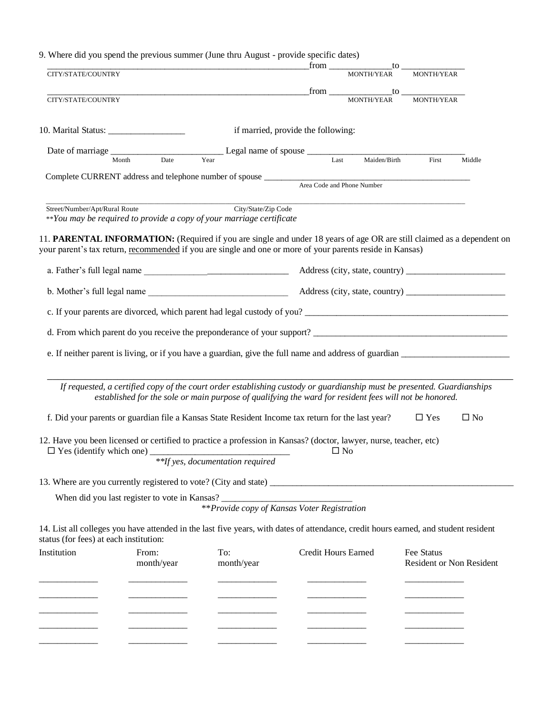|                                        |                     | 9. Where did you spend the previous summer (June thru August - provide specific dates)                                                                                                                                              |                                    |              |                                                                                                                                                           |              |
|----------------------------------------|---------------------|-------------------------------------------------------------------------------------------------------------------------------------------------------------------------------------------------------------------------------------|------------------------------------|--------------|-----------------------------------------------------------------------------------------------------------------------------------------------------------|--------------|
| CITY/STATE/COUNTRY                     |                     |                                                                                                                                                                                                                                     |                                    | MONTH/YEAR   | MONTH/YEAR                                                                                                                                                |              |
| CITY/STATE/COUNTRY                     |                     | <u> 1989 - Jan James James James James James James James James James James James James James James James James J</u>                                                                                                                |                                    |              | $\begin{array}{c}\n  \  \text{from} \begin{array}{c}\n  \text{norm of } \end{array} \\ \begin{array}{c}\n  \text{MONTH/TEAR}\n \end{array}\n \end{array}$ |              |
|                                        |                     |                                                                                                                                                                                                                                     | if married, provide the following: |              |                                                                                                                                                           |              |
|                                        |                     | Elegal name of spouse Last                                                                                                                                                                                                          |                                    |              |                                                                                                                                                           |              |
|                                        | Date<br>Month       |                                                                                                                                                                                                                                     |                                    | Maiden/Birth | <b>First</b>                                                                                                                                              | Middle       |
|                                        |                     | Complete CURRENT address and telephone number of spouse <u>Area Code</u> and Phone Number                                                                                                                                           |                                    |              |                                                                                                                                                           |              |
| Street/Number/Apt/Rural Route          |                     | City/State/Zip Code<br>**You may be required to provide a copy of your marriage certificate                                                                                                                                         |                                    |              |                                                                                                                                                           |              |
|                                        |                     | 11. PARENTAL INFORMATION: (Required if you are single and under 18 years of age OR are still claimed as a dependent on<br>your parent's tax return, recommended if you are single and one or more of your parents reside in Kansas) |                                    |              |                                                                                                                                                           |              |
|                                        |                     |                                                                                                                                                                                                                                     |                                    |              |                                                                                                                                                           |              |
|                                        |                     | b. Mother's full legal name                                                                                                                                                                                                         |                                    |              |                                                                                                                                                           |              |
|                                        |                     |                                                                                                                                                                                                                                     |                                    |              |                                                                                                                                                           |              |
|                                        |                     |                                                                                                                                                                                                                                     |                                    |              |                                                                                                                                                           |              |
|                                        |                     |                                                                                                                                                                                                                                     |                                    |              |                                                                                                                                                           |              |
|                                        |                     | If requested, a certified copy of the court order establishing custody or guardianship must be presented. Guardianships<br>established for the sole or main purpose of qualifying the ward for resident fees will not be honored.   |                                    |              |                                                                                                                                                           |              |
|                                        |                     | f. Did your parents or guardian file a Kansas State Resident Income tax return for the last year?                                                                                                                                   |                                    |              | $\square$ Yes                                                                                                                                             | $\square$ No |
| $\Box$ Yes (identify which one)        |                     | 12. Have you been licensed or certified to practice a profession in Kansas? (doctor, lawyer, nurse, teacher, etc)<br>$\Box$ No<br>**If yes, documentation required                                                                  |                                    |              |                                                                                                                                                           |              |
|                                        |                     |                                                                                                                                                                                                                                     |                                    |              |                                                                                                                                                           |              |
|                                        |                     | **Provide copy of Kansas Voter Registration                                                                                                                                                                                         |                                    |              |                                                                                                                                                           |              |
| status (for fees) at each institution: |                     | 14. List all colleges you have attended in the last five years, with dates of attendance, credit hours earned, and student resident                                                                                                 |                                    |              |                                                                                                                                                           |              |
| Institution                            | From:<br>month/year | To:<br>month/year                                                                                                                                                                                                                   | <b>Credit Hours Earned</b>         |              | Fee Status<br>Resident or Non Resident                                                                                                                    |              |
|                                        |                     |                                                                                                                                                                                                                                     |                                    |              |                                                                                                                                                           |              |
|                                        |                     |                                                                                                                                                                                                                                     |                                    |              |                                                                                                                                                           |              |
|                                        |                     |                                                                                                                                                                                                                                     |                                    |              |                                                                                                                                                           |              |

\_\_\_\_\_\_\_\_\_\_\_\_\_ \_\_\_\_\_\_\_\_\_\_\_\_\_ \_\_\_\_\_\_\_\_\_\_\_\_\_ \_\_\_\_\_\_\_\_\_\_\_\_\_ \_\_\_\_\_\_\_\_\_\_\_\_\_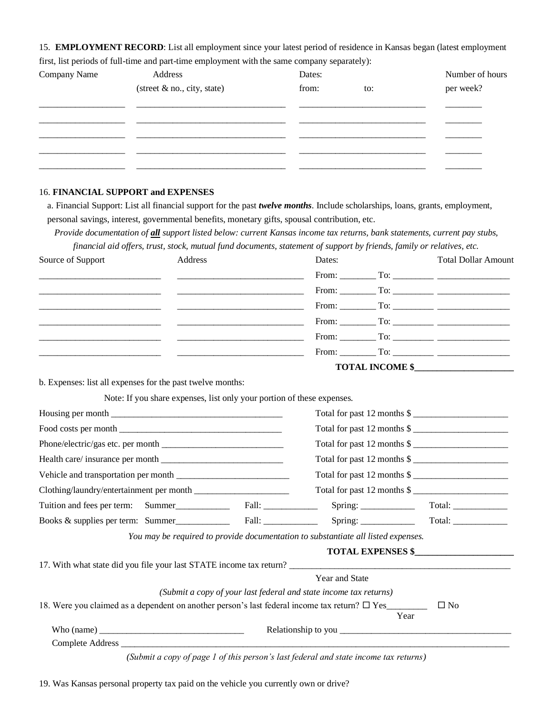15. **EMPLOYMENT RECORD**: List all employment since your latest period of residence in Kansas began (latest employment first, list periods of full-time and part-time employment with the same company separately):

| Company Name | Address                     | Dates: | Number of hours |           |
|--------------|-----------------------------|--------|-----------------|-----------|
|              | (street & no., city, state) | from:  | to:             | per week? |
|              |                             |        |                 |           |
|              |                             |        |                 |           |
|              |                             |        |                 |           |
|              |                             |        |                 |           |
|              |                             |        |                 |           |

### 16. **FINANCIAL SUPPORT and EXPENSES**

a. Financial Support: List all financial support for the past *twelve months*. Include scholarships, loans, grants, employment, personal savings, interest, governmental benefits, monetary gifts, spousal contribution, etc.

*Provide documentation of all support listed below: current Kansas income tax returns, bank statements, current pay stubs, financial aid offers, trust, stock, mutual fund documents, statement of support by friends, family or relatives, etc.*

| Source of Support                                          | Address |                                                                                                                                                                                                                                            | Dates:                                                                            | <b>Total Dollar Amount</b>                        |  |  |  |
|------------------------------------------------------------|---------|--------------------------------------------------------------------------------------------------------------------------------------------------------------------------------------------------------------------------------------------|-----------------------------------------------------------------------------------|---------------------------------------------------|--|--|--|
|                                                            |         |                                                                                                                                                                                                                                            |                                                                                   |                                                   |  |  |  |
|                                                            |         |                                                                                                                                                                                                                                            |                                                                                   |                                                   |  |  |  |
|                                                            |         |                                                                                                                                                                                                                                            |                                                                                   |                                                   |  |  |  |
|                                                            |         | $\overline{\phantom{a}}$ , and the contract of the contract of the contract of the contract of the contract of the contract of the contract of the contract of the contract of the contract of the contract of the contract of the contrac |                                                                                   |                                                   |  |  |  |
|                                                            |         |                                                                                                                                                                                                                                            |                                                                                   |                                                   |  |  |  |
|                                                            |         |                                                                                                                                                                                                                                            |                                                                                   |                                                   |  |  |  |
|                                                            |         |                                                                                                                                                                                                                                            |                                                                                   | <b>TOTAL INCOME \$</b>                            |  |  |  |
| b. Expenses: list all expenses for the past twelve months: |         |                                                                                                                                                                                                                                            |                                                                                   |                                                   |  |  |  |
|                                                            |         | Note: If you share expenses, list only your portion of these expenses.                                                                                                                                                                     |                                                                                   |                                                   |  |  |  |
|                                                            |         |                                                                                                                                                                                                                                            |                                                                                   | Total for past 12 months \$                       |  |  |  |
|                                                            |         |                                                                                                                                                                                                                                            | Total for past 12 months \$                                                       |                                                   |  |  |  |
| Phone/electric/gas etc. per month                          |         |                                                                                                                                                                                                                                            | Total for past 12 months \$                                                       |                                                   |  |  |  |
|                                                            |         |                                                                                                                                                                                                                                            | Total for past 12 months \$                                                       |                                                   |  |  |  |
|                                                            |         |                                                                                                                                                                                                                                            | Total for past 12 months \$                                                       |                                                   |  |  |  |
|                                                            |         |                                                                                                                                                                                                                                            |                                                                                   | Total for past 12 months \$                       |  |  |  |
|                                                            |         |                                                                                                                                                                                                                                            |                                                                                   | $Spring: ____________$<br>$Total: \_\_\_\_\_\_\_$ |  |  |  |
|                                                            |         |                                                                                                                                                                                                                                            |                                                                                   |                                                   |  |  |  |
|                                                            |         |                                                                                                                                                                                                                                            | You may be required to provide documentation to substantiate all listed expenses. |                                                   |  |  |  |
|                                                            |         |                                                                                                                                                                                                                                            |                                                                                   | <b>TOTAL EXPENSES \$</b>                          |  |  |  |
|                                                            |         |                                                                                                                                                                                                                                            |                                                                                   |                                                   |  |  |  |
|                                                            |         |                                                                                                                                                                                                                                            | Year and State                                                                    |                                                   |  |  |  |
|                                                            |         |                                                                                                                                                                                                                                            | (Submit a copy of your last federal and state income tax returns)                 |                                                   |  |  |  |
|                                                            |         |                                                                                                                                                                                                                                            |                                                                                   | $\square$ No<br>Year                              |  |  |  |
|                                                            |         |                                                                                                                                                                                                                                            |                                                                                   |                                                   |  |  |  |
|                                                            |         |                                                                                                                                                                                                                                            |                                                                                   |                                                   |  |  |  |

19. Was Kansas personal property tax paid on the vehicle you currently own or drive?